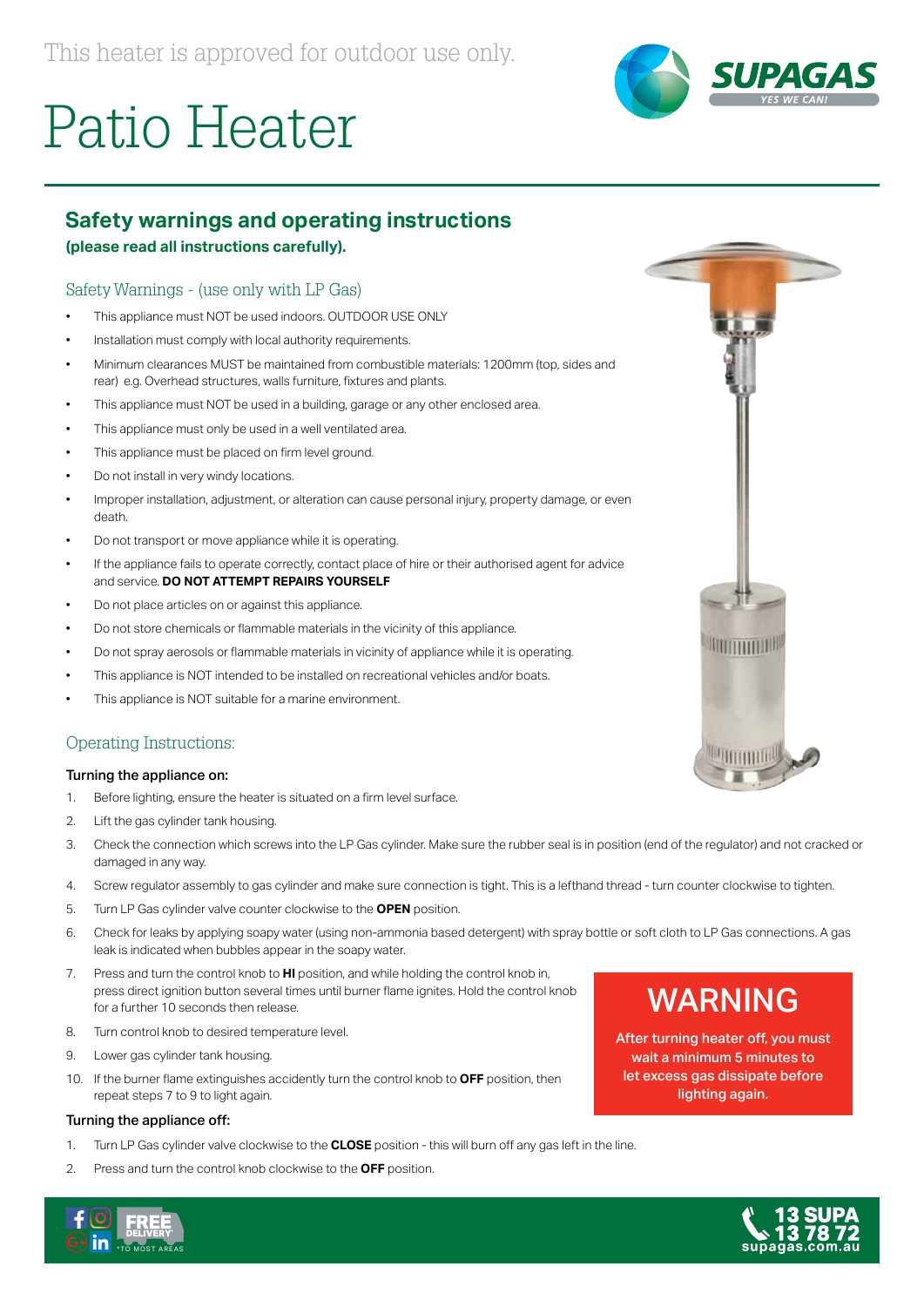

# Patio Heater

# **Safety warnings and operating instructions**

### **(please read all instructions carefully).**

# Safety Warnings - (use only with LP Gas)

- This appliance must NOT be used indoors. OUTDOOR USE ONLY
- Installation must comply with local authority requirements.
- Minimum clearances MUST be maintained from combustible materials: 1200mm (top, sides and rear) e.g. Overhead structures, walls furniture, fixtures and plants.
- This appliance must NOT be used in a building, garage or any other enclosed area.
- This appliance must only be used in a well ventilated area.
- This appliance must be placed on firm level ground.
- Do not install in very windy locations.
- Improper installation, adjustment, or alteration can cause personal injury, property damage, or even death.
- Do not transport or move appliance while it is operating.
- If the appliance fails to operate correctly, contact place of hire or their authorised agent for advice and service. **DO NOT ATTEMPT REPAIRS YOURSELF**
- Do not place articles on or against this appliance.
- Do not store chemicals or flammable materials in the vicinity of this appliance.
- Do not spray aerosols or flammable materials in vicinity of appliance while it is operating.
- This appliance is NOT intended to be installed on recreational vehicles and/or boats.
- This appliance is NOT suitable for a marine environment.

## Operating Instructions:

### Turning the appliance on:

- 1. Before lighting, ensure the heater is situated on a firm level surface.
- 2. Lift the gas cylinder tank housing.
- 3. Check the connection which screws into the LP Gas cylinder. Make sure the rubber seal is in position (end of the regulator) and not cracked or damaged in any way.
- 4. Screw regulator assembly to gas cylinder and make sure connection is tight. This is a lefthand thread turn counter clockwise to tighten.
- 5. Turn LP Gas cylinder valve counter clockwise to the **OPEN** position.
- 6. Check for leaks by applying soapy water (using non-ammonia based detergent) with spray bottle or soft cloth to LP Gas connections. A gas leak is indicated when bubbles appear in the soapy water.
- 7. Press and turn the control knob to **HI** position, and while holding the control knob in, press direct ignition button several times until burner flame ignites. Hold the control knob for a further 10 seconds then release.
- 8. Turn control knob to desired temperature level.
- 9. Lower gas cylinder tank housing.
- 10. If the burner flame extinguishes accidently turn the control knob to **OFF** position, then repeat steps 7 to 9 to light again.

#### Turning the appliance off:

- 1. Turn LP Gas cylinder valve clockwise to the **CLOSE** position this will burn off any gas left in the line.
- 2. Press and turn the control knob clockwise to the **OFF** position.



# WARNING

After turning heater off, you must wait a minimum 5 minutes to let excess gas dissipate before lighting again.